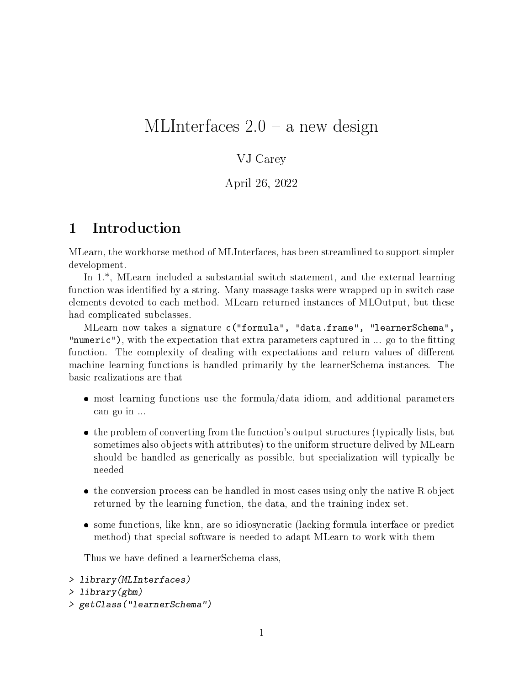## MLInterfaces  $2.0 - a$  new design

#### VJ Carey

April 26, 2022

## 1 Introduction

MLearn, the workhorse method of MLInterfaces, has been streamlined to support simpler development.

In 1.\*, MLearn included a substantial switch statement, and the external learning function was identified by a string. Many massage tasks were wrapped up in switch case elements devoted to each method. MLearn returned instances of MLOutput, but these had complicated subclasses.

MLearn now takes a signature c("formula", "data.frame", "learnerSchema", "numeric"), with the expectation that extra parameters captured in ... go to the fitting function. The complexity of dealing with expectations and return values of different machine learning functions is handled primarily by the learnerSchema instances. The basic realizations are that

- most learning functions use the formula/data idiom, and additional parameters can go in ...
- the problem of converting from the function's output structures (typically lists, but sometimes also objects with attributes) to the uniform structure delived by MLearn should be handled as generically as possible, but specialization will typically be needed
- the conversion process can be handled in most cases using only the native R object returned by the learning function, the data, and the training index set.
- some functions, like knn, are so idiosyncratic (lacking formula interface or predict method) that special software is needed to adapt MLearn to work with them

Thus we have defined a learnerSchema class,

```
> library(MLInterfaces)
> library(gbm)
> getClass("learnerSchema")
```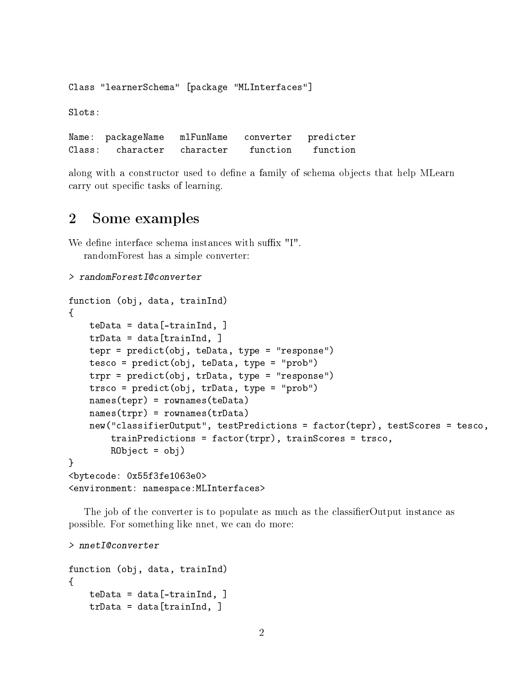Class "learnerSchema" [package "MLInterfaces"]

Slots:

Name: packageName mlFunName converter predicter Class: character character function function

along with a constructor used to define a family of schema objects that help MLearn carry out specific tasks of learning.

### 2 Some examples

We define interface schema instances with suffix "I". randomForest has a simple converter:

```
> randomForestI@converter
```

```
function (obj, data, trainInd)
{
   teData = data[-trainInd, ]trData = data[trainInd, ]tepr = predict(obj, teData, type = "response")
   tesco = predict(obj, teData, type = "prob")
   trpr = predict(obj, trData, type = "response")
   trsco = predict(obj, trData, type = "prob")
   names(tepr) = rownames(teData)
   names(trpr) = rownames(trData)
   new("classifierOutput", testPredictions = factor(tepr), testScores = tesco,
        trainPredictions = factor(trpr), trainScores = trsco,
       R0bject = obj)}
<bytecode: 0x55f3fe1063e0>
<environment: namespace:MLInterfaces>
```
The job of the converter is to populate as much as the classifier Output instance as possible. For something like nnet, we can do more:

> nnetI@converter

```
function (obj, data, trainInd)
{
   teData = data[-trainInd, ]trData = data[trainInd, ]
```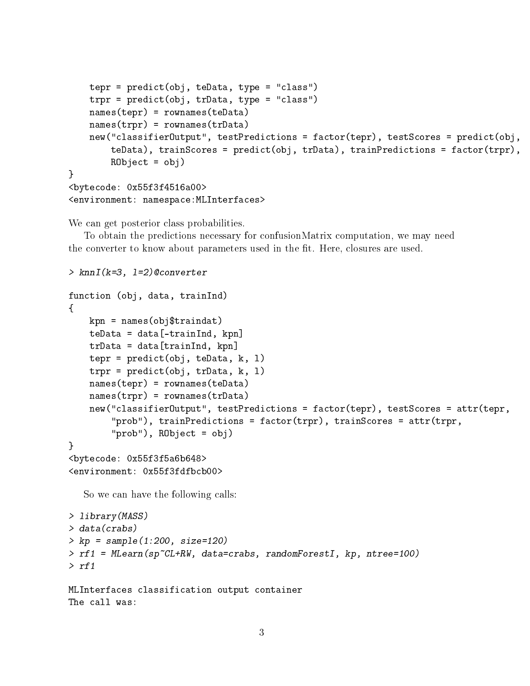```
tepr = predict(obj, teData, type = "class")
   trpr = predict(obj, trData, type = "class")
   names(tepr) = rownames(teData)
   names(trpr) = rownames(trData)
   new("classifierOutput", testPredictions = factor(tepr), testScores = predict(obj,
       teData), trainScores = predict(obj, trData), trainPredictions = factor(trpr),
       R0bject = obj)}
<bytecode: 0x55f3f4516a00>
<environment: namespace:MLInterfaces>
```
We can get posterior class probabilities.

To obtain the predictions necessary for confusionMatrix computation, we may need the converter to know about parameters used in the fit. Here, closures are used.

```
> knnI(k=3, l=2)@converter
function (obj, data, trainInd)
{
    kpn = names(obj$traindat)teData = data[-trainInd, kpn]trData = data[trainInd, kpn]
    tepr = predict(obj, teData, k, l)
    trpr = predict(obj, trData, k, l)
    names(tepr) = rownames(teData)
    names(trpr) = rownames(trData)
    new("classifierOutput", testPredictions = factor(tepr), testScores = attr(tepr,
        "prob"), trainPredictions = factor(trpr), trainScores = attr(trpr,
        "prob"), RObject = obj)
}
<bytecode: 0x55f3f5a6b648>
<environment: 0x55f3fdfbcb00>
   So we can have the following calls:
> library(MASS)
> data(crabs)
> kp = sample(1:200, size=120)
> rf1 = MLearn(sp~CL+RW, data=crabs, randomForestI, kp, ntree=100)
> rf1
MLInterfaces classification output container
The call was:
```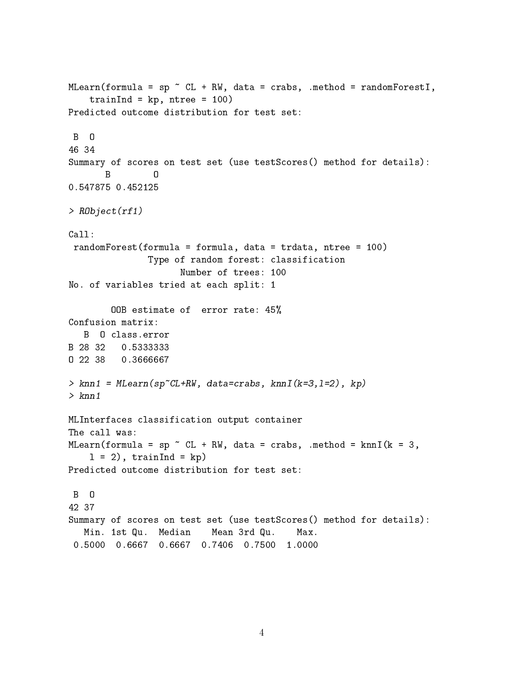```
MLearn(formula = sp \tilde{C} CL + RW, data = crabs, .method = randomForestI,
   trainInd = kp, ntree = 100)
Predicted outcome distribution for test set:
B O
46 34
Summary of scores on test set (use testScores() method for details):
       B O
0.547875 0.452125
> RObject(rf1)
Call:
randomForest(formula = formula, data = trdata, ntree = 100)
               Type of random forest: classification
                     Number of trees: 100
No. of variables tried at each split: 1
        OOB estimate of error rate: 45%
Confusion matrix:
  B O class.error
B 28 32 0.5333333
O 22 38 0.3666667
> knn1 = MLearn(sp~CL+RW, data=crabs, knnI(k=3,l=2), kp)
> knn1
MLInterfaces classification output container
The call was:
MLearn(formula = sp \tilde{C} CL + RW, data = crabs, .method = knnI(k = 3,
    1 = 2), trainInd = kp)
Predicted outcome distribution for test set:
B O
42 37
Summary of scores on test set (use testScores() method for details):
  Min. 1st Qu. Median Mean 3rd Qu. Max.
 0.5000 0.6667 0.6667 0.7406 0.7500 1.0000
```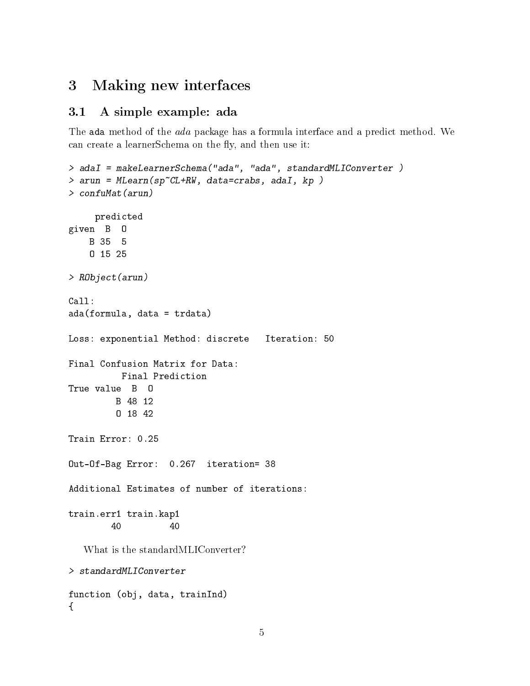## 3 Making new interfaces

### 3.1 A simple example: ada

The ada method of the *ada* package has a formula interface and a predict method. We can create a learnerSchema on the fly, and then use it:

```
> adaI = makeLearnerSchema("ada", "ada", standardMLIConverter )
> arun = MLearn(sp~CL+RW, data=crabs, adaI, kp )
> confuMat(arun)
     predicted
given B O
    B 35 5
    O 15 25
> RObject(arun)
Call:
ada(formula, data = trdata)
Loss: exponential Method: discrete Iteration: 50
Final Confusion Matrix for Data:
          Final Prediction
True value B O
        B 48 12
         O 18 42
Train Error: 0.25
Out-Of-Bag Error: 0.267 iteration= 38
Additional Estimates of number of iterations:
train.err1 train.kap1
        40 40
   What is the standardMLIConverter?
> standardMLIConverter
function (obj, data, trainInd)
{
```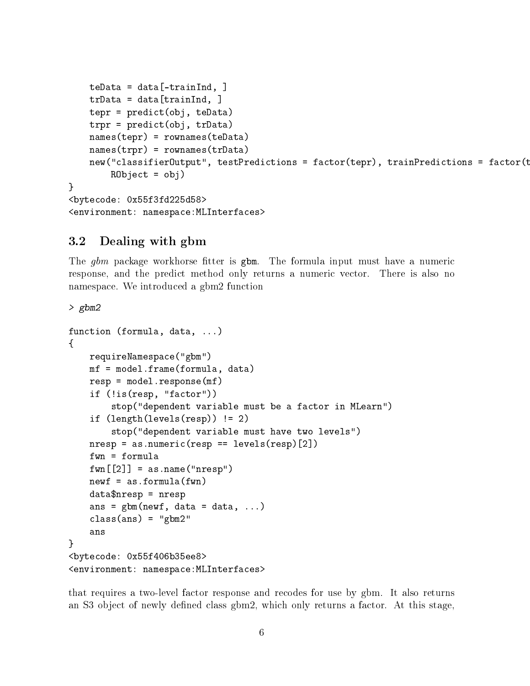```
teData = data[-trainInd, ]trData = data[trainInd, ]tepr = predict(obj, teData)
   trpr = predict(obj, trData)
   names(tepr) = rownames(teData)
   names(trpr) = rownames(trData)
   new("classifierOutput", testPredictions = factor(tepr), trainPredictions = factor(t
       R0bject = obj)}
<bytecode: 0x55f3fd225d58>
<environment: namespace:MLInterfaces>
```
#### 3.2 Dealing with gbm

The  $g_{\theta m}$  package workhorse fitter is  $g_{\theta m}$ . The formula input must have a numeric response, and the predict method only returns a numeric vector. There is also no namespace. We introduced a gbm2 function

> gbm2

```
function (formula, data, ...)
{
   requireNamespace("gbm")
   mf = model.frame(formula, data)
   resp = model.response(mf)
    if (!is(resp, "factor"))
        stop("dependent variable must be a factor in MLearn")
    if (length(levels(resp)) != 2)
        stop("dependent variable must have two levels")
   nresp = as .numeric(resp == levels(resp)[2])fwn = formula
   fwn[[2]] = as.name("nresp")newf = as.format(cfwn)data$nresp = nresp
    ans = gbm(newf, data = data, ...)class(ans) = "gbm2"ans
}
<bytecode: 0x55f406b35ee8>
<environment: namespace:MLInterfaces>
```
that requires a two-level factor response and recodes for use by gbm. It also returns an S3 object of newly defined class gbm2, which only returns a factor. At this stage,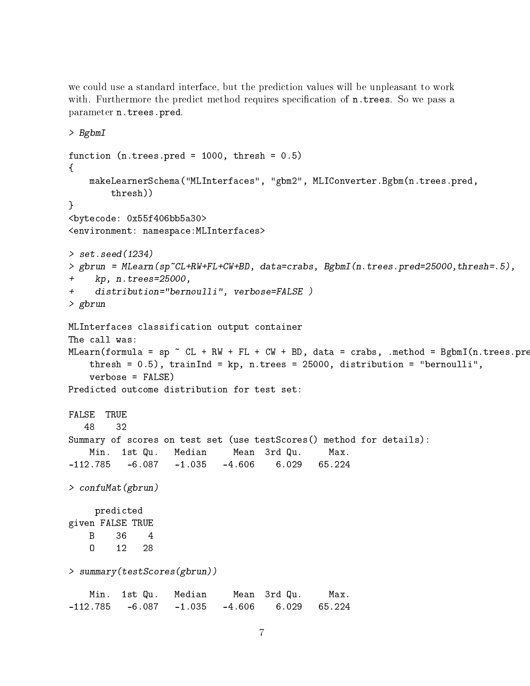we could use a standard interface, but the prediction values will be unpleasant to work with. Furthermore the predict method requires specification of n.trees. So we pass a parameter n.trees.pred.

```
> BgbmI
function (n.trees.pred = 1000, thresh = 0.5)
{
   makeLearnerSchema("MLInterfaces", "gbm2", MLIConverter.Bgbm(n.trees.pred,
       thresh))
}
<bytecode: 0x55f406bb5a30>
<environment: namespace:MLInterfaces>
> set.seed(1234)
> gbrun = MLearn(sp~CL+RW+FL+CW+BD, data=crabs, BgbmI(n.trees.pred=25000,thresh=.5),
+ kp, n.trees=25000,
+ distribution="bernoulli", verbose=FALSE )
> gbrun
MLInterfaces classification output container
The call was:
MLearn(formula = sp \tilde{~} CL + RW + FL + CW + BD, data = crabs, .method = BgbmI(n.trees.pr\epsilonthresh = 0.5), trainInd = kp, n.trees = 25000, distribution = "bernoulli",
   verbose = FALSE)
Predicted outcome distribution for test set:
FALSE TRUE
  48 32
Summary of scores on test set (use testScores() method for details):
   Min. 1st Qu. Median Mean 3rd Qu. Max.
-112.785 -6.087 -1.035 -4.606 6.029 65.224
> confuMat(gbrun)
    predicted
given FALSE TRUE
   B 36 4
   O 12 28
> summary(testScores(gbrun))
   Min. 1st Qu. Median Mean 3rd Qu. Max.
-112.785 -6.087 -1.035 -4.606 6.029 65.224
```